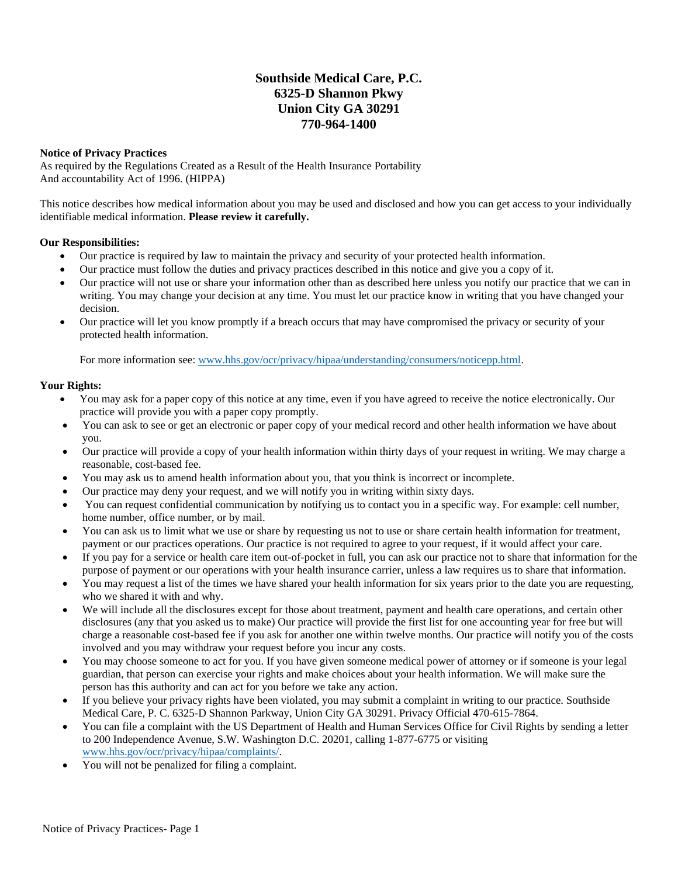## **Southside Medical Care, P.C. 6325-D Shannon Pkwy Union City GA 30291 770-964-1400**

## **Notice of Privacy Practices**

As required by the Regulations Created as a Result of the Health Insurance Portability And accountability Act of 1996. (HIPPA)

This notice describes how medical information about you may be used and disclosed and how you can get access to your individually identifiable medical information. **Please review it carefully.**

## **Our Responsibilities:**

- Our practice is required by law to maintain the privacy and security of your protected health information.
- Our practice must follow the duties and privacy practices described in this notice and give you a copy of it.
- Our practice will not use or share your information other than as described here unless you notify our practice that we can in writing. You may change your decision at any time. You must let our practice know in writing that you have changed your decision.
- Our practice will let you know promptly if a breach occurs that may have compromised the privacy or security of your protected health information.

For more information see: [www.hhs.gov/ocr/privacy/hipaa/understanding/consumers/noticepp.html.](http://www.hhs.gov/ocr/privacy/hipaa/understanding/consumers/noticepp.html)

## **Your Rights:**

- You may ask for a paper copy of this notice at any time, even if you have agreed to receive the notice electronically. Our practice will provide you with a paper copy promptly.
- You can ask to see or get an electronic or paper copy of your medical record and other health information we have about you.
- Our practice will provide a copy of your health information within thirty days of your request in writing. We may charge a reasonable, cost-based fee.
- You may ask us to amend health information about you, that you think is incorrect or incomplete.
- Our practice may deny your request, and we will notify you in writing within sixty days.
- You can request confidential communication by notifying us to contact you in a specific way. For example: cell number, home number, office number, or by mail.
- You can ask us to limit what we use or share by requesting us not to use or share certain health information for treatment, payment or our practices operations. Our practice is not required to agree to your request, if it would affect your care.
- If you pay for a service or health care item out-of-pocket in full, you can ask our practice not to share that information for the purpose of payment or our operations with your health insurance carrier, unless a law requires us to share that information.
- You may request a list of the times we have shared your health information for six years prior to the date you are requesting, who we shared it with and why.
- We will include all the disclosures except for those about treatment, payment and health care operations, and certain other disclosures (any that you asked us to make) Our practice will provide the first list for one accounting year for free but will charge a reasonable cost-based fee if you ask for another one within twelve months. Our practice will notify you of the costs involved and you may withdraw your request before you incur any costs.
- You may choose someone to act for you. If you have given someone medical power of attorney or if someone is your legal guardian, that person can exercise your rights and make choices about your health information. We will make sure the person has this authority and can act for you before we take any action.
- If you believe your privacy rights have been violated, you may submit a complaint in writing to our practice. Southside Medical Care, P. C. 6325-D Shannon Parkway, Union City GA 30291. Privacy Official 470-615-7864.
- You can file a complaint with the US Department of Health and Human Services Office for Civil Rights by sending a letter to 200 Independence Avenue, S.W. Washington D.C. 20201, calling 1-877-6775 or visiting [www.hhs.gov/ocr/privacy/hipaa/complaints/.](http://www.hhs.gov/ocr/privacy/hipaa/complaints/)
- You will not be penalized for filing a complaint.